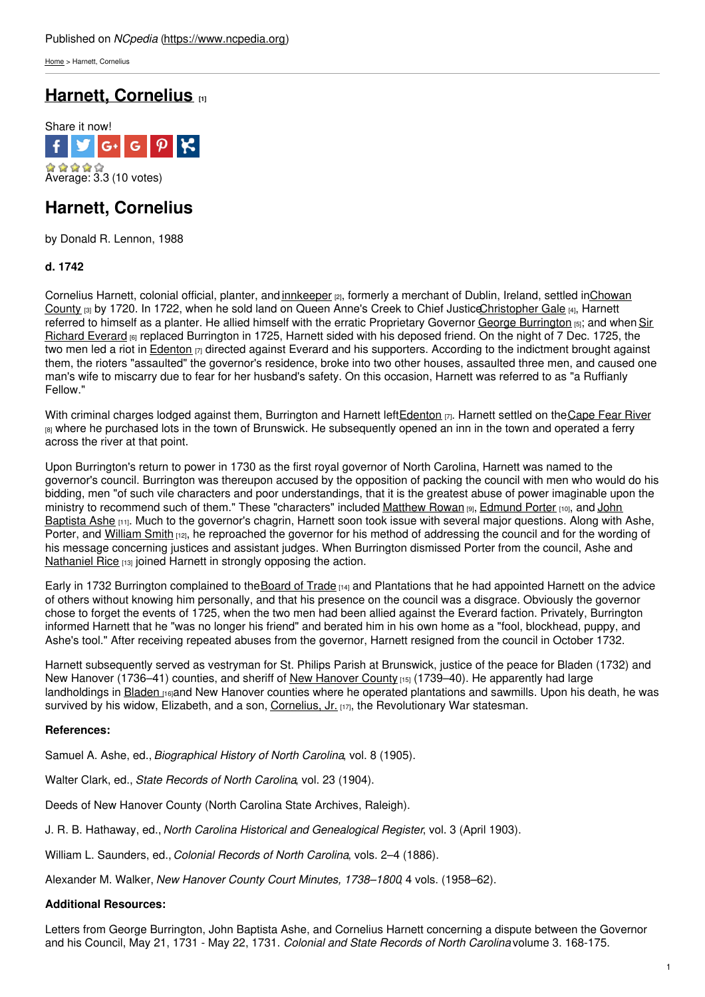[Home](https://www.ncpedia.org/) > Harnett, Cornelius

# **Harnett, [Cornelius](https://www.ncpedia.org/biography/harnett-cornelius) [1]**



## **Harnett, Cornelius**

by Donald R. Lennon, 1988

### **d. 1742**

Cornelius Harnett, colonial official, planter, and [innkeeper](https://www.ncpedia.org/inns-and-taverns) <sub>[2]</sub>, formerly a merchant of Dublin, Ireland, settled inChowan County [3] by 1720. In 1722, when he sold land on Queen Anne's Creek to Chief [JusticeChristopher](https://www.ncpedia.org/geography/chowan) Gale [4], Harnett referred to [himself](http://www.social9.com) as a planter. He allied himself with the erratic [Proprietary](https://www.ncpedia.org/biography/everard-sir-richard) Governor George [Burrington](https://www.ncpedia.org/biography/burrington-george) [5]; and when Sir Richard Everard <sub>[6]</sub> replaced Burrington in 1725, Harnett sided with his deposed friend. On the night of 7 Dec. 1725, the two men led a riot in [Edenton](https://www.ncpedia.org/edenton)  $\eta$  directed against Everard and his supporters. According to the indictment brought against them, the rioters "assaulted" the governor's residence, broke into two other houses, assaulted three men, and caused one man's wife to miscarry due to fear for her husband's safety. On this occasion, Harnett was referred to as "a Ruffianly Fellow."

With criminal charges lodged against them, Burrington and Harnett left[Edenton](https://www.ncpedia.org/edenton)  $\eta$ . Harnett settled on the Cape Fear River  $B_1$  where he purchased lots in the town of Brunswick. He subsequently opened an inn in the town and operated a ferry across the river at that point.

Upon Burrington's return to power in 1730 as the first royal governor of North Carolina, Harnett was named to the governor's council. Burrington was thereupon accused by the opposition of packing the council with men who would do his bidding, men "of such vile characters and poor understandings, that it is the greatest abuse of power imaginable upon the ministry to recommend such of them." These ["characters"](https://www.ncpedia.org/biography/ashe-john-baptista) included [Matthew](https://www.ncpedia.org/biography/rowan-matthew) Rowan [9], [Edmund](https://www.ncpedia.org/biography/porter-edmund) Porter [10], and John Baptista Ashe [11]. Much to the governor's chagrin, Harnett soon took issue with several major questions. Along with Ashe, Porter, and [William](https://www.ncpedia.org/biography/smith-william) Smith [12], he reproached the governor for his method of addressing the council and for the wording of his message concerning justices and assistant judges. When Burrington dismissed Porter from the council, Ashe and [Nathaniel](https://www.ncpedia.org/biography/rice-nathaniel) Rice [13] joined Harnett in strongly opposing the action.

Early in 1732 Burrington complained to the [Board](https://www.ncpedia.org/board-trade) of Trade  $H_1$ and Plantations that he had appointed Harnett on the advice of others without knowing him personally, and that his presence on the council was a disgrace. Obviously the governor chose to forget the events of 1725, when the two men had been allied against the Everard faction. Privately, Burrington informed Harnett that he "was no longer his friend" and berated him in his own home as a "fool, blockhead, puppy, and Ashe's tool." After receiving repeated abuses from the governor, Harnett resigned from the council in October 1732.

Harnett subsequently served as vestryman for St. Philips Parish at Brunswick, justice of the peace for Bladen (1732) and New [Hanover](https://www.ncpedia.org/geography/new-hanover) (1736–41) counties, and sheriff of New Hanover County [15] (1739–40). He apparently had large landholdings in [Bladen](https://www.ncpedia.org/geography/bladen) [16]and New Hanover counties where he operated plantations and sawmills. Upon his death, he was survived by his widow, Elizabeth, and a son, [Cornelius,](https://www.ncpedia.org/biography/harnett-cornelius-jr) Jr. [17], the Revolutionary War statesman.

#### **References:**

Samuel A. Ashe, ed., *Biographical History of North Carolina*, vol. 8 (1905).

Walter Clark, ed., *State Records of North Carolina*, vol. 23 (1904).

Deeds of New Hanover County (North Carolina State Archives, Raleigh).

J. R. B. Hathaway, ed., *North Carolina Historical and Genealogical Register*, vol. 3 (April 1903).

William L. Saunders, ed., *Colonial Records of North Carolina*, vols. 2–4 (1886).

Alexander M. Walker, *New Hanover County Court Minutes, 1738–1800*, 4 vols. (1958–62).

#### **Additional Resources:**

Letters from George Burrington, John Baptista Ashe, and Cornelius Harnett concerning a dispute between the Governor and his Council, May 21, 1731 - May 22, 1731. *Colonial and State Records of North Carolina* volume 3. 168-175.